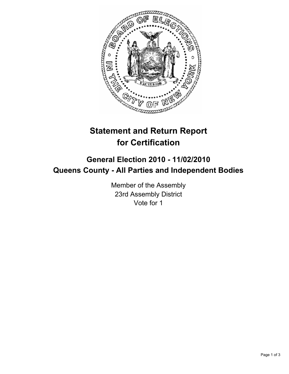

## **Statement and Return Report for Certification**

## **General Election 2010 - 11/02/2010 Queens County - All Parties and Independent Bodies**

Member of the Assembly 23rd Assembly District Vote for 1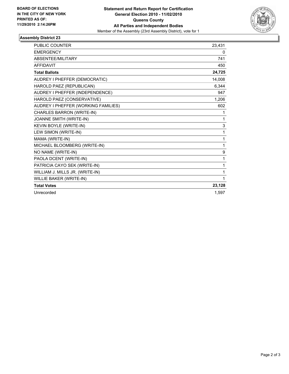

## **Assembly District 23**

| <b>PUBLIC COUNTER</b>               | 23,431 |
|-------------------------------------|--------|
| <b>EMERGENCY</b>                    | 0      |
| <b>ABSENTEE/MILITARY</b>            | 741    |
| <b>AFFIDAVIT</b>                    | 450    |
| <b>Total Ballots</b>                | 24,725 |
| AUDREY I PHEFFER (DEMOCRATIC)       | 14,008 |
| HAROLD PAEZ (REPUBLICAN)            | 6,344  |
| AUDREY I PHEFFER (INDEPENDENCE)     | 947    |
| HAROLD PAEZ (CONSERVATIVE)          | 1,206  |
| AUDREY I PHEFFER (WORKING FAMILIES) | 602    |
| CHARLES BARRON (WRITE-IN)           | 1      |
| JOANNE SMITH (WRITE-IN)             | 1      |
| KEVIN BOYLE (WRITE-IN)              | 3      |
| LEW SIMON (WRITE-IN)                | 1      |
| MAMA (WRITE-IN)                     | 1      |
| MICHAEL BLOOMBERG (WRITE-IN)        | 1      |
| NO NAME (WRITE-IN)                  | 9      |
| PAOLA DCENT (WRITE-IN)              | 1      |
| PATRICIA CAYO SEK (WRITE-IN)        | 1      |
| WILLIAM J. MILLS JR. (WRITE-IN)     | 1      |
| WILLIE BAKER (WRITE-IN)             | 1      |
| <b>Total Votes</b>                  | 23,128 |
| Unrecorded                          | 1,597  |